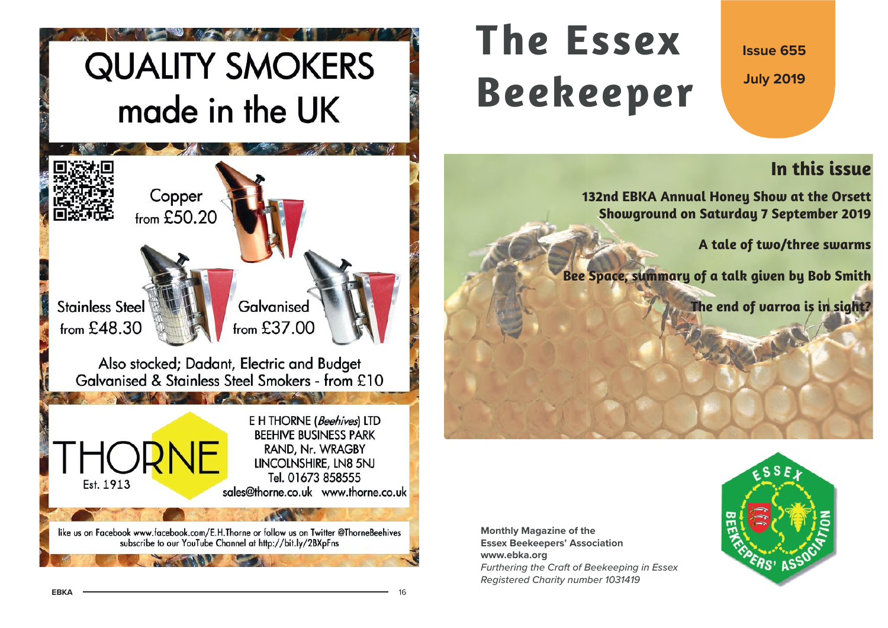# **QUALITY SMOKERS** made in the UK



# **The EssexBeekeeper**

**Issue 655**

**July 2019**

# **In this issue**

**132nd EBKA Annual Honey Show at the Orsett Showground on Saturday 7 September 2019**

**A tale of two/three swarms**

**Bee Space, summary of a talk given by Bob Smith**

**The end of varroa is in sight?**

**Monthly Magazine of the Essex Beekeepers' Association www.ebka.org** Furthering the Craft of Beekeeping in Essex Registered Charity number 1031419

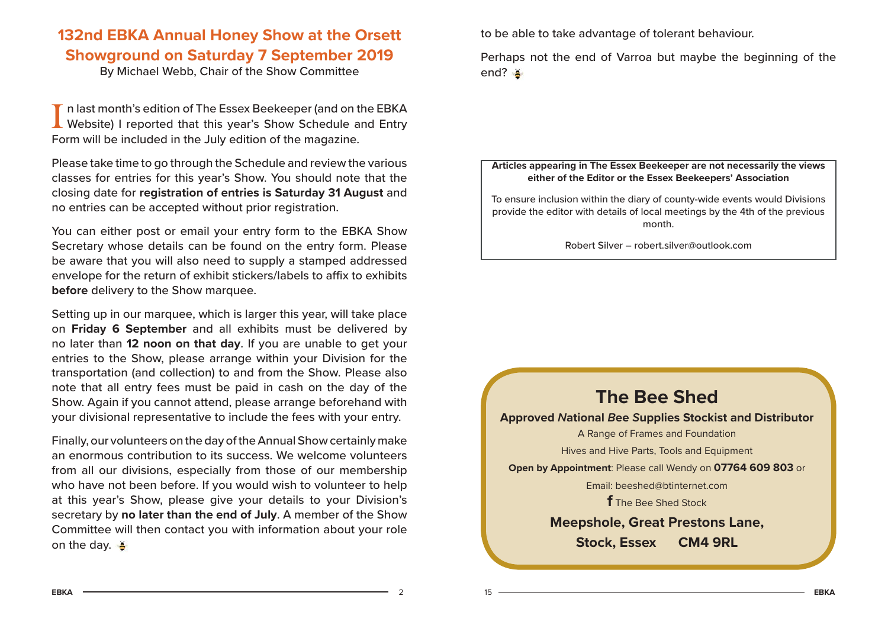## **132nd EBKA Annual Honey Show at the Orsett Showground on Saturday 7 September 2019**

By Michael Webb, Chair of the Show Committee

I n last month's edition of The Essex Beekeeper (and on the EBKA Website) I reported that this year's Show Schedule and Entry Form will be included in the July edition of the magazine.

Please take time to go through the Schedule and review the various classes for entries for this year's Show. You should note that the closing date for **registration of entries is Saturday 31 August** and no entries can be accepted without prior registration.

You can either post or email your entry form to the EBKA Show Secretary whose details can be found on the entry form. Please be aware that you will also need to supply a stamped addressed envelope for the return of exhibit stickers/labels to affix to exhibits **before** delivery to the Show marquee.

Setting up in our marquee, which is larger this year, will take place on **Friday 6 September** and all exhibits must be delivered by no later than **12 noon on that day**. If you are unable to get your entries to the Show, please arrange within your Division for the transportation (and collection) to and from the Show. Please also note that all entry fees must be paid in cash on the day of the Show. Again if you cannot attend, please arrange beforehand with your divisional representative to include the fees with your entry.

Finally, our volunteers on the day of the Annual Show certainly make an enormous contribution to its success. We welcome volunteers from all our divisions, especially from those of our membership who have not been before. If you would wish to volunteer to help at this year's Show, please give your details to your Division's secretary by **no later than the end of July**. A member of the Show Committee will then contact you with information about your role on the day.  $\frac{8}{5}$ 

to be able to take advantage of tolerant behaviour.

Perhaps not the end of Varroa but maybe the beginning of the end?

#### **Articles appearing in The Essex Beekeeper are not necessarily the views either of the Editor or the Essex Beekeepers' Association**

To ensure inclusion within the diary of county-wide events would Divisions provide the editor with details of local meetings by the 4th of the previous month.

Robert Silver – robert.silver@outlook.com

## **The Bee ShedApproved National Bee Supplies Stockist and Distributor** A Range of Frames and Foundation Hives and Hive Parts, Tools and Equipment **Open by Appointment**: Please call Wendy on **07764 609 803** or Email: beeshed@btinternet.com**f** The Bee Shed Stock **Meepshole, Great Prestons Lane, Stock, Essex CM4 9RL**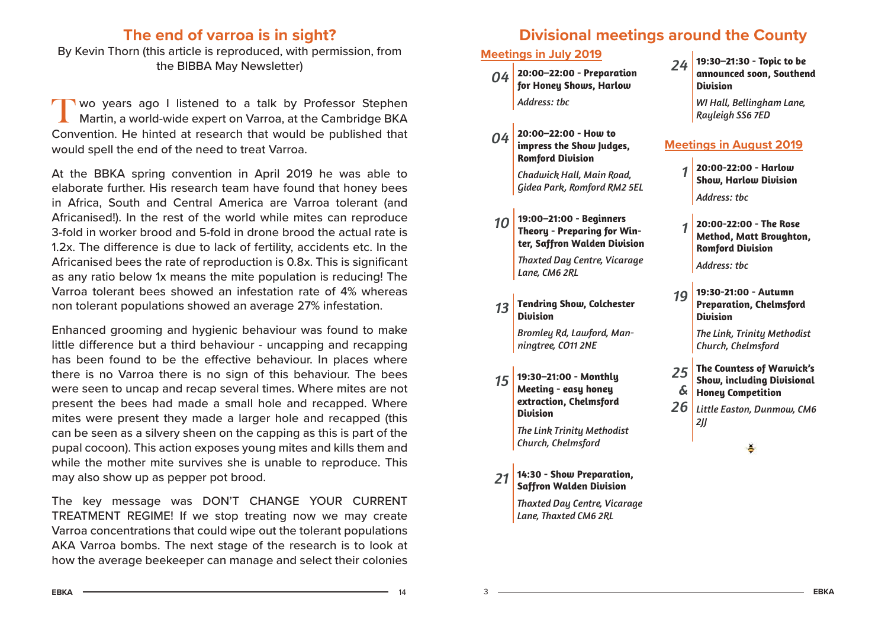## **The end of varroa is in sight?**

By Kevin Thorn (this article is reproduced, with permission, from the BIBBA May Newsletter)

Two years ago I listened to a talk by Professor Stephen Martin, a world-wide expert on Varroa, at the Cambridge BKA Convention. He hinted at research that would be published that would spell the end of the need to treat Varroa.

At the BBKA spring convention in April 2019 he was able to elaborate further. His research team have found that honey bees in Africa, South and Central America are Varroa tolerant (and Africanised!). In the rest of the world while mites can reproduce 3-fold in worker brood and 5-fold in drone brood the actual rate is 1.2x. The difference is due to lack of fertility, accidents etc. In the Africanised bees the rate of reproduction is 0.8x. This is significant as any ratio below 1x means the mite population is reducing! The Varroa tolerant bees showed an infestation rate of 4% whereas non tolerant populations showed an average 27% infestation.

Enhanced grooming and hygienic behaviour was found to make little difference but a third behaviour - uncapping and recapping has been found to be the effective behaviour. In places where there is no Varroa there is no sign of this behaviour. The bees were seen to uncap and recap several times. Where mites are not present the bees had made a small hole and recapped. Where mites were present they made a larger hole and recapped (this can be seen as a silvery sheen on the capping as this is part of the pupal cocoon). This action exposes young mites and kills them and while the mother mite survives she is unable to reproduce. This may also show up as pepper pot brood.

The key message was DON'T CHANGE YOUR CURRENT TREATMENT REGIME! If we stop treating now we may create Varroa concentrations that could wipe out the tolerant populations AKA Varroa bombs. The next stage of the research is to look at how the average beekeeper can manage and select their colonies

## **Divisional meetings around the County**

### **Meetings in July 2019**

- *04* **20:00–22:00 - Preparation for Honey Shows, Harlow** *Address: tbc*
- *04* **20:00–22:00 - How to impress the Show Judges, Romford Division**

*Chadwick Hall, Main Road, Gidea Park, Romford RM2 5EL* 

*10* **19:00–21:00 - Beginners Theory - Preparing for Winter, Saffron Walden Division** *Thaxted Day Centre, Vicarage Lane, CM6 2RL*

*13* **Tendring Show, Colchester Division***Bromley Rd, Lawford, Manningtree, CO11 2NE*

- *15* **19:30–21:00 - Monthly Meeting - easy honey extraction, Chelmsford Division***The Link Trinity Methodist Church, Chelmsford*
- *21* **14:30 - Show Preparation, Saffron Walden Division** *Thaxted Day Centre, Vicarage Lane, Thaxted CM6 2RL*

*24* **19:30–21:30 - Topic to be announced soon, Southend Division**

> *WI Hall, Bellingham Lane, Rayleigh SS6 7ED*

#### **Meetings in August 2019**

- *1* **20:00-22:00 - Harlow Show, Harlow Division** *Address: tbc*
- *1* **20:00-22:00 - The Rose Method, Matt Broughton, Romford Division** *Address: tbc*
- *19* **19:30-21:00 - Autumn Preparation, Chelmsford Division**

*The Link, Trinity Methodist Church, Chelmsford*

- *25&***The Countess of Warwick's Show, including Divisional Honey Competition**
- *26 Little Easton, Dunmow, CM6 2JJ*

 $A =$  14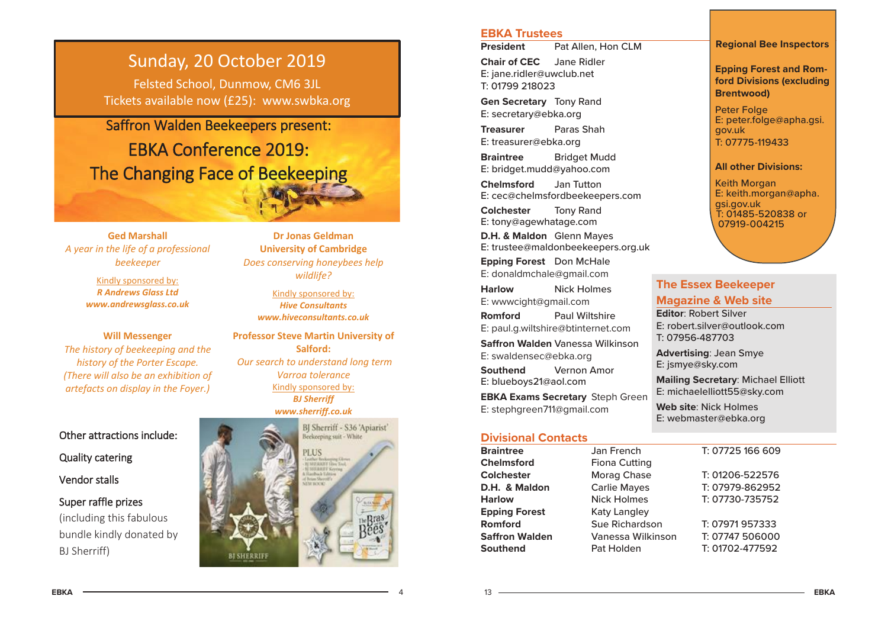## Sunday, 20 October 2019

Felsted School, Dunmow, CM6 3JL Tickets available now (£25): www.swbka.org

Saffron Walden Beekeepers present:

# EBKA Conference 2019: The Changing Face of Beekeeping

**Ged Marshall** *A year in the life of a professional beekeeper*

> Kindly sponsored by: *R Andrews Glass Ltdwww.andrewsglass.co.uk*

**Will Messenger**  *The history of beekeeping and the history of the Porter Escape. (There will also be an exhibition of artefacts on display in the Foyer.)*

#### Other attractions include:

Quality catering

Vendor stalls

### Super raffle prizes (including this fabulous bundle kindly donated by BJ Sherriff)

**Dr Jonas Geldman University of Cambridge**  *Does conserving honeybees help wildlife?*

Kindly sponsored by: *Hive Consultants www.hiveconsultants.co.uk*

**Professor Steve Martin University of Salford:** *Our search to understand long term Varroa tolerance*  Kindly sponsored by: *BJ Sherriff www.sherriff.co.uk*



#### **EBKA Trustees**

**President**Pat Allen, Hon CLM

**Chair of CEC** Jane Ridler E: jane.ridler@uwclub.net T: 01799 218023

**Gen Secretary** Tony Rand E: secretary@ebka.org

**Treasurer** Paras ShahE: treasurer@ebka.org

**Braintree** Bridget Mudd E: bridget.mudd@yahoo.com

**Chelmsford** Jan Tutton E: cec@chelmsfordbeekeepers.com

**Colchester** Tony Rand E: tony@agewhatage.com

**D.H. & Maldon** Glenn Mayes E: trustee@maldonbeekeepers.org.uk

**Epping Forest** Don McHale E: donaldmchale@gmail.com

**Harlow** Nick Holmes E: wwwcight@gmail.com **Romford** Paul Wiltshire E: paul.g.wiltshire@btinternet.com **Saff ron Walden** Vanessa Wilkinson E: swaldensec@ebka.org **Southend** Vernon Amor E: blueboys21@aol.com **EBKA Exams Secretary** Steph Green E: stephgreen711@gmail.com

#### **Divisional Contacts**

**BraintreeChelmsfordColchesterD.H. & MaldonHarlowEpping Forest** Katy Langley **RomfordSaffron Walden Southend**

13

Jan French Fiona Cutting Morag Chase Carlie Mayes Nick Holmes Sue Richardson Vanessa Wilkinso Pat Holden

Keith Morgan E: keith.morgan@apha. gsi.gov.uk T: 01485-520838 or

07919-004215

**All other Divisions:**

T: 07775-119433

**Regional Bee Inspectors**

**Epping Forest and Romford Divisions (excluding** 

E: peter.folge@apha.gsi.

**Brentwood)** Peter Folge

gov.uk

#### **The Essex Beekeeper Magazine & Web site**

**Editor**: Robert SilverE: robert.silver@outlook.comT: 07956-487703

**Advertising**: Jean Smye E: jsmye@sky.com

**Mailing Secretary**: Michael Elliott E: michaelelliott55@sky.com

**Web site**: Nick HolmesE: webmaster@ebka.org

|   | T: 07725 166 609 |
|---|------------------|
|   | T: 01206-522576  |
|   | T: 07979-862952  |
|   | T: 07730-735752  |
|   | T: 07971 957333  |
| n | T: 07747 506000  |
|   | T: 01702-477592  |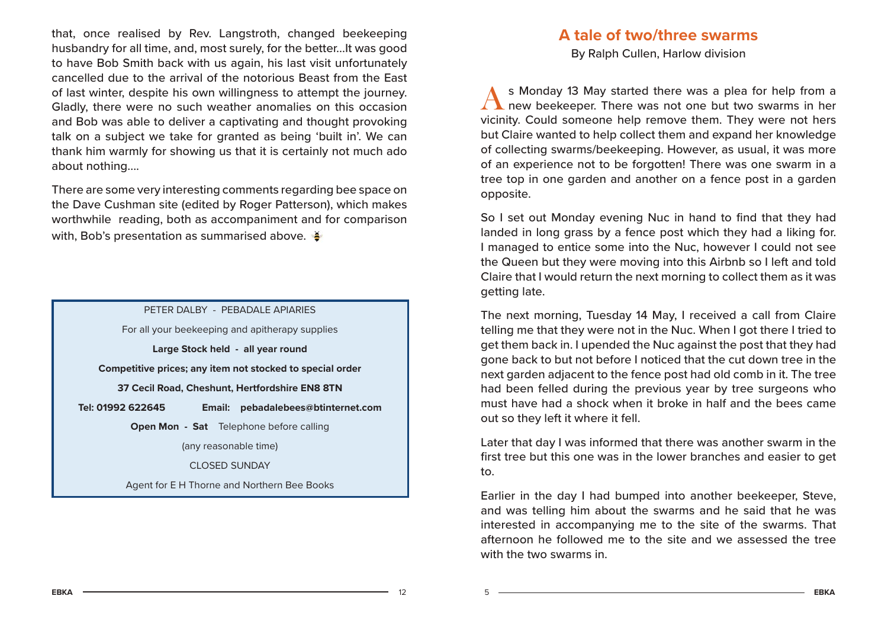that, once realised by Rev. Langstroth, changed beekeeping husbandry for all time, and, most surely, for the better...It was good to have Bob Smith back with us again, his last visit unfortunately cancelled due to the arrival of the notorious Beast from the East of last winter, despite his own willingness to attempt the journey. Gladly, there were no such weather anomalies on this occasion and Bob was able to deliver a captivating and thought provoking talk on a subject we take for granted as being 'built in'. We can thank him warmly for showing us that it is certainly not much ado about nothing....

There are some very interesting comments regarding bee space on the Dave Cushman site (edited by Roger Patterson), which makes worthwhile reading, both as accompaniment and for comparison with, Bob's presentation as summarised above.

#### PETER DALBY - PERADALE APIARIES

For all your beekeeping and apitherapy supplies

**Large Stock held - all year round**

**Competitive prices; any item not stocked to special order**

**37 Cecil Road, Cheshunt, Hertfordshire EN8 8TN**

**Tel: 01992 622645 Email: pebadalebees@btinternet.com**

**Open Mon - Sat** Telephone before calling

(any reasonable time)

CLOSED SUNDAY

Agent for E H Thorne and Northern Bee Books

## **A tale of two/three swarms**

By Ralph Cullen, Harlow division

s Monday 13 May started there was a plea for help from a new beekeeper. There was not one but two swarms in her vicinity. Could someone help remove them. They were not hers but Claire wanted to help collect them and expand her knowledge of collecting swarms/beekeeping. However, as usual, it was more of an experience not to be forgotten! There was one swarm in a tree top in one garden and another on a fence post in a garden opposite.

So I set out Monday evening Nuc in hand to find that they had landed in long grass by a fence post which they had a liking for. I managed to entice some into the Nuc, however I could not see the Queen but they were moving into this Airbnb so I left and told Claire that I would return the next morning to collect them as it was getting late.

The next morning, Tuesday 14 May, I received a call from Claire telling me that they were not in the Nuc. When I got there I tried to get them back in. I upended the Nuc against the post that they had gone back to but not before I noticed that the cut down tree in the next garden adjacent to the fence post had old comb in it. The tree had been felled during the previous year by tree surgeons who must have had a shock when it broke in half and the bees came out so they left it where it fell.

Later that day I was informed that there was another swarm in the first tree but this one was in the lower branches and easier to get to.

Earlier in the day I had bumped into another beekeeper, Steve, and was telling him about the swarms and he said that he was interested in accompanying me to the site of the swarms. That afternoon he followed me to the site and we assessed the tree with the two swarms in.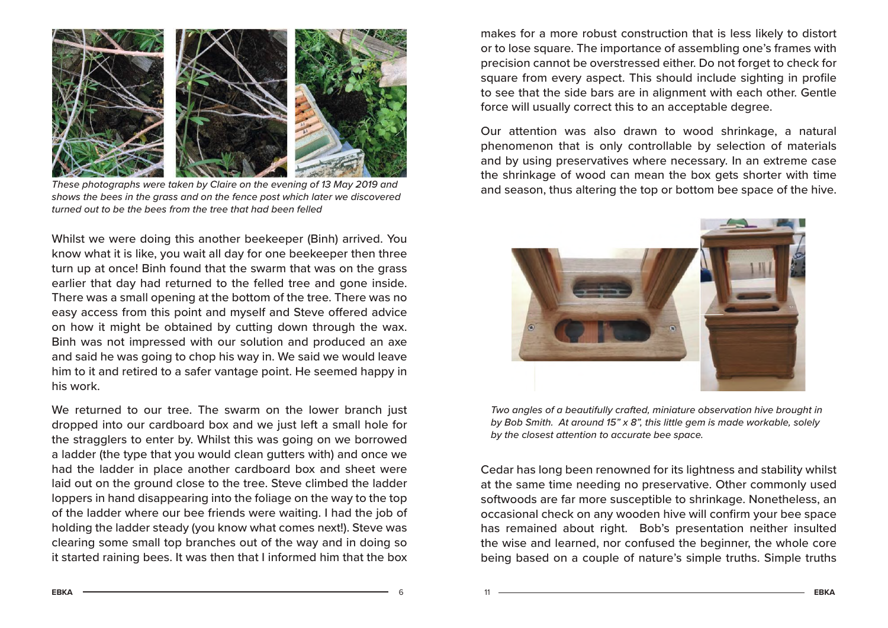

These photographs were taken by Claire on the evening of 13 May 2019 and shows the bees in the grass and on the fence post which later we discovered turned out to be the bees from the tree that had been felled

Whilst we were doing this another beekeeper (Binh) arrived. You know what it is like, you wait all day for one beekeeper then three turn up at once! Binh found that the swarm that was on the grass earlier that day had returned to the felled tree and gone inside. There was a small opening at the bottom of the tree. There was no easy access from this point and myself and Steve offered advice on how it might be obtained by cutting down through the wax. Binh was not impressed with our solution and produced an axe and said he was going to chop his way in. We said we would leave him to it and retired to a safer vantage point. He seemed happy in his work.

We returned to our tree. The swarm on the lower branch just dropped into our cardboard box and we just left a small hole for the stragglers to enter by. Whilst this was going on we borrowed a ladder (the type that you would clean gutters with) and once we had the ladder in place another cardboard box and sheet were laid out on the ground close to the tree. Steve climbed the ladder loppers in hand disappearing into the foliage on the way to the top of the ladder where our bee friends were waiting. I had the job of holding the ladder steady (you know what comes next!). Steve was clearing some small top branches out of the way and in doing so it started raining bees. It was then that I informed him that the box

makes for a more robust construction that is less likely to distort or to lose square. The importance of assembling one's frames with precision cannot be overstressed either. Do not forget to check for square from every aspect. This should include sighting in profile to see that the side bars are in alignment with each other. Gentle force will usually correct this to an acceptable degree.

Our attention was also drawn to wood shrinkage, a natural phenomenon that is only controllable by selection of materials and by using preservatives where necessary. In an extreme case the shrinkage of wood can mean the box gets shorter with time and season, thus altering the top or bottom bee space of the hive.



Two angles of a beautifully crafted, miniature observation hive brought in by Bob Smith. At around 15" x 8", this little gem is made workable, solely by the closest attention to accurate bee space.

Cedar has long been renowned for its lightness and stability whilst at the same time needing no preservative. Other commonly used softwoods are far more susceptible to shrinkage. Nonetheless, an occasional check on any wooden hive will confirm your bee space has remained about right. Bob's presentation neither insulted the wise and learned, nor confused the beginner, the whole core being based on a couple of nature's simple truths. Simple truths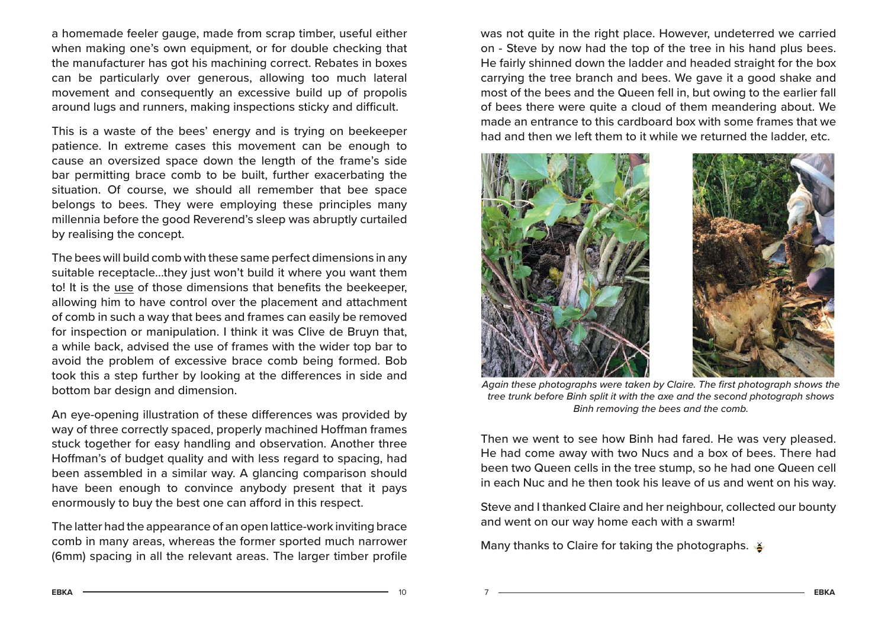a homemade feeler gauge, made from scrap timber, useful either when making one's own equipment, or for double checking that the manufacturer has got his machining correct. Rebates in boxes can be particularly over generous, allowing too much lateral movement and consequently an excessive build up of propolis around lugs and runners, making inspections sticky and difficult.

This is a waste of the bees' energy and is trying on beekeeper patience. In extreme cases this movement can be enough to cause an oversized space down the length of the frame's side bar permitting brace comb to be built, further exacerbating the situation. Of course, we should all remember that bee space belongs to bees. They were employing these principles many millennia before the good Reverend's sleep was abruptly curtailed by realising the concept.

The bees will build comb with these same perfect dimensions in any suitable receptacle...they just won't build it where you want them to! It is the use of those dimensions that benefits the beekeeper, allowing him to have control over the placement and attachment of comb in such a way that bees and frames can easily be removed for inspection or manipulation. I think it was Clive de Bruyn that, a while back, advised the use of frames with the wider top bar to avoid the problem of excessive brace comb being formed. Bob took this a step further by looking at the differences in side and bottom bar design and dimension.

An eye-opening illustration of these differences was provided by way of three correctly spaced, properly machined Hoffman frames stuck together for easy handling and observation. Another three Hoffman's of budget quality and with less regard to spacing, had been assembled in a similar way. A glancing comparison should have been enough to convince anybody present that it pays enormously to buy the best one can afford in this respect.

The latter had the appearance of an open lattice-work inviting brace comb in many areas, whereas the former sported much narrower (6mm) spacing in all the relevant areas. The larger timber profile

was not quite in the right place. However, undeterred we carried on - Steve by now had the top of the tree in his hand plus bees. He fairly shinned down the ladder and headed straight for the box carrying the tree branch and bees. We gave it a good shake and most of the bees and the Queen fell in, but owing to the earlier fall of bees there were quite a cloud of them meandering about. We made an entrance to this cardboard box with some frames that we had and then we left them to it while we returned the ladder, etc.



Again these photographs were taken by Claire. The first photograph shows the tree trunk before Binh split it with the axe and the second photograph shows Binh removing the bees and the comb.

Then we went to see how Binh had fared. He was very pleased. He had come away with two Nucs and a box of bees. There had been two Queen cells in the tree stump, so he had one Queen cell in each Nuc and he then took his leave of us and went on his way.

Steve and I thanked Claire and her neighbour, collected our bounty and went on our way home each with a swarm!

Many thanks to Claire for taking the photographs.